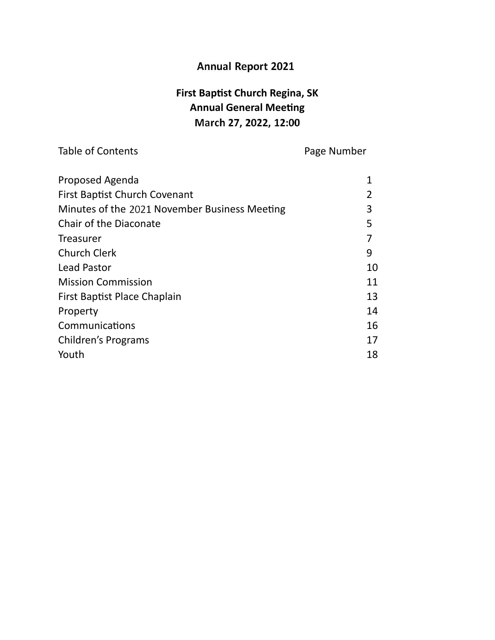# **Annual Report 2020**

# **First Baptist Church Regina, SK Annual General Meeting March 21, 2021, 12:00**

Table of Contents **Page Number** 

| Proposed Agenda                               |    |
|-----------------------------------------------|----|
| <b>First Baptist Church Covenant</b>          |    |
| Minutes of the 2021 November Business Meeting | 3  |
| Chair of the Diaconate                        | 5  |
| Treasurer                                     |    |
| <b>Church Clerk</b>                           | 9  |
| <b>Lead Pastor</b>                            | 10 |
| <b>Mission Commission</b>                     | 11 |
| First Baptist Place Chaplain                  | 13 |
| Property                                      | 14 |
| Communications                                | 16 |
| Children's Programs                           | 17 |
| Youth                                         | 18 |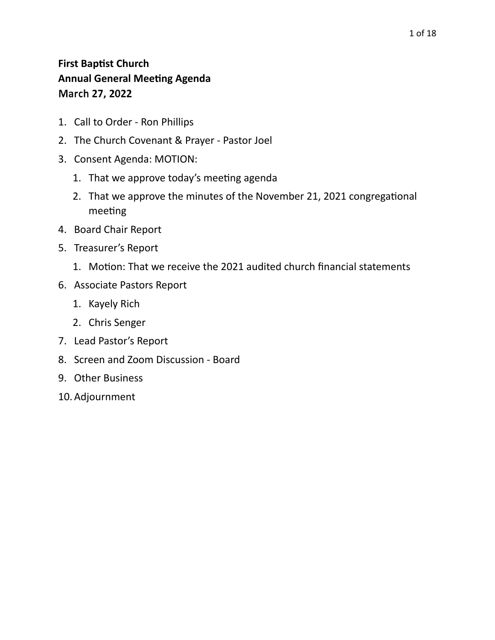## **First Baptist Church Annual General Meeting Agenda March 27, 2021**

- 1. Call to Order Ron Phillips
- 2. The Church Covenant & Prayer Pastor Joel
- 3. Consent Agenda: MOTION:
	- 1. That we approve today's meeting agenda
	- 2. That we approve the minutes of the November 21, 2021 congregational meeting
- 4. Board Chair Report
- 5. Treasurer's Report
	- 1. Motion: That we receive the 2021 audited church financial statements
- 6. Associate Pastors Report
	- 1. Kayely Rich
	- 2. Chris Senger
- 7. Lead Pastor's Report
- 8. Screen and Zoom Discussion Board
- 9. Other Business
- 10.Adjournment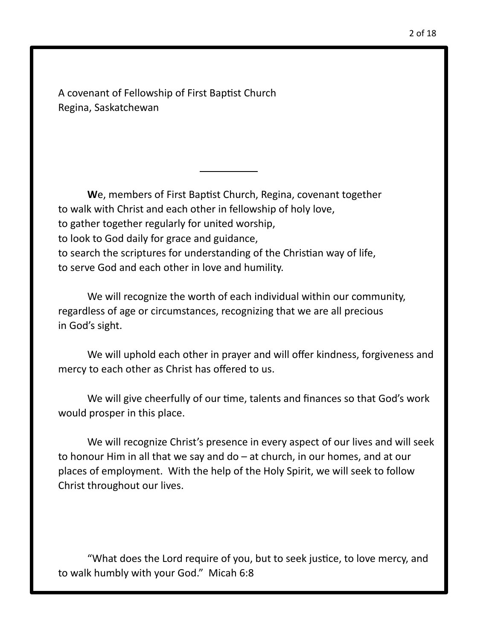A covenant of Fellowship of First Baptist Church Regina, Saskatchewan

**W**e, members of First Baptist Church, Regina, covenant together to walk with Christ and each other in fellowship of holy love, to gather together regularly for united worship, to look to God daily for grace and guidance, to search the scriptures for understanding of the Christian way of life, to serve God and each other in love and humility.

We will recognize the worth of each individual within our community, regardless of age or circumstances, recognizing that we are all precious in God's sight.

We will uphold each other in prayer and will offer kindness, forgiveness and mercy to each other as Christ has offered to us.

We will give cheerfully of our time, talents and finances so that God's work would prosper in this place.

We will recognize Christ's presence in every aspect of our lives and will seek to honour Him in all that we say and do – at church, in our homes, and at our places of employment. With the help of the Holy Spirit, we will seek to follow Christ throughout our lives.

"What does the Lord require of you, but to seek justice, to love mercy, and to walk humbly with your God." Micah 6:8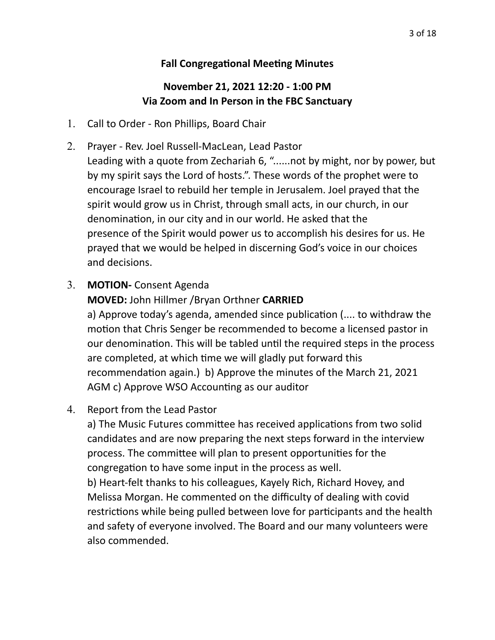#### **Fall Congregational Meeting Minutes**

#### **November 21, 2021 12:20 - 1:00 PM Via Zoom and In Person in the FBC Sanctuary**

- 1. Call to Order Ron Phillips, Board Chair
- 2. Prayer Rev. Joel Russell-MacLean, Lead Pastor Leading with a quote from Zechariah 6, "......not by might, nor by power, but by my spirit says the Lord of hosts.". These words of the prophet were to encourage Israel to rebuild her temple in Jerusalem. Joel prayed that the spirit would grow us in Christ, through small acts, in our church, in our denomination, in our city and in our world. He asked that the presence of the Spirit would power us to accomplish his desires for us. He prayed that we would be helped in discerning God's voice in our choices and decisions.
- 3. **MOTION-** Consent Agenda

## **MOVED:** John Hillmer /Bryan Orthner **CARRIED**

a) Approve today's agenda, amended since publication (.... to withdraw the motion that Chris Senger be recommended to become a licensed pastor in our denomination. This will be tabled until the required steps in the process are completed, at which time we will gladly put forward this recommendation again.) b) Approve the minutes of the March 21, 2021 AGM c) Approve WSO Accounting as our auditor

4. Report from the Lead Pastor

a) The Music Futures committee has received applications from two solid candidates and are now preparing the next steps forward in the interview process. The committee will plan to present opportunities for the congregation to have some input in the process as well.

b) Heart-felt thanks to his colleagues, Kayely Rich, Richard Hovey, and Melissa Morgan. He commented on the difficulty of dealing with covid restrictions while being pulled between love for participants and the health and safety of everyone involved. The Board and our many volunteers were also commended.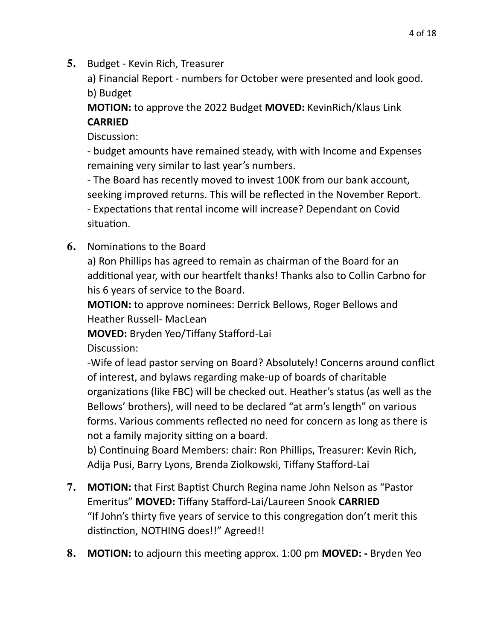**5.** Budget - Kevin Rich, Treasurer

a) Financial Report - numbers for October were presented and look good. b) Budget

**MOTION:** to approve the 2022 Budget **MOVED:** KevinRich/Klaus Link **CARRIED** 

Discussion:

- budget amounts have remained steady, with with Income and Expenses remaining very similar to last year's numbers.

- The Board has recently moved to invest 100K from our bank account, seeking improved returns. This will be reflected in the November Report. - Expectations that rental income will increase? Dependant on Covid situation.

**6.** Nominations to the Board

a) Ron Phillips has agreed to remain as chairman of the Board for an additional year, with our heartfelt thanks! Thanks also to Collin Carbno for his 6 years of service to the Board.

**MOTION:** to approve nominees: Derrick Bellows, Roger Bellows and Heather Russell- MacLean

**MOVED:** Bryden Yeo/Tiffany Stafford-Lai

Discussion:

-Wife of lead pastor serving on Board? Absolutely! Concerns around conflict of interest, and bylaws regarding make-up of boards of charitable organizations (like FBC) will be checked out. Heather's status (as well as the Bellows' brothers), will need to be declared "at arm's length" on various forms. Various comments reflected no need for concern as long as there is not a family majority sitting on a board.

b) Continuing Board Members: chair: Ron Phillips, Treasurer: Kevin Rich, Adija Pusi, Barry Lyons, Brenda Ziolkowski, Tiffany Stafford-Lai

- **7. MOTION:** that First Baptist Church Regina name John Nelson as "Pastor Emeritus" **MOVED:** Tiffany Stafford-Lai/Laureen Snook **CARRIED** "If John's thirty five years of service to this congregation don't merit this distinction, NOTHING does!!" Agreed!!
- **8. MOTION:** to adjourn this meeting approx. 1:00 pm **MOVED:** Bryden Yeo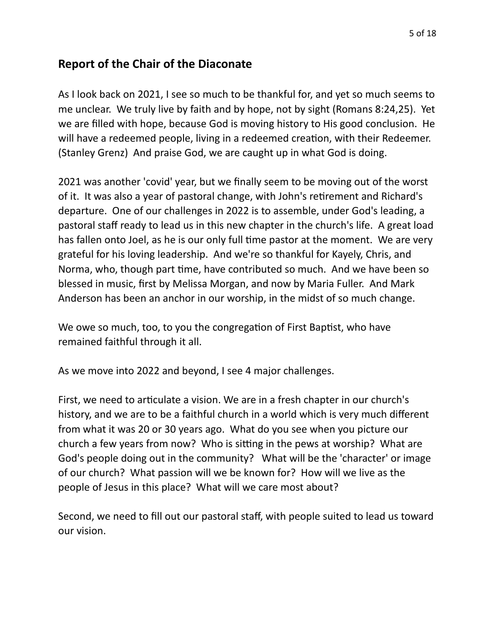## **Report of the Chair of the Diaconate**

As I look back on 2021, I see so much to be thankful for, and yet so much seems to me unclear. We truly live by faith and by hope, not by sight (Romans 8:24,25). Yet we are filled with hope, because God is moving history to His good conclusion. He will have a redeemed people, living in a redeemed creation, with their Redeemer. (Stanley Grenz) And praise God, we are caught up in what God is doing.

2021 was another 'covid' year, but we finally seem to be moving out of the worst of it. It was also a year of pastoral change, with John's retirement and Richard's departure. One of our challenges in 2022 is to assemble, under God's leading, a pastoral staff ready to lead us in this new chapter in the church's life. A great load has fallen onto Joel, as he is our only full time pastor at the moment. We are very grateful for his loving leadership. And we're so thankful for Kayely, Chris, and Norma, who, though part time, have contributed so much. And we have been so blessed in music, first by Melissa Morgan, and now by Maria Fuller. And Mark Anderson has been an anchor in our worship, in the midst of so much change.

We owe so much, too, to you the congregation of First Baptist, who have remained faithful through it all.

As we move into 2022 and beyond, I see 4 major challenges.

First, we need to articulate a vision. We are in a fresh chapter in our church's history, and we are to be a faithful church in a world which is very much different from what it was 20 or 30 years ago. What do you see when you picture our church a few years from now? Who is sitting in the pews at worship? What are God's people doing out in the community? What will be the 'character' or image of our church? What passion will we be known for? How will we live as the people of Jesus in this place? What will we care most about?

Second, we need to fill out our pastoral staff, with people suited to lead us toward our vision.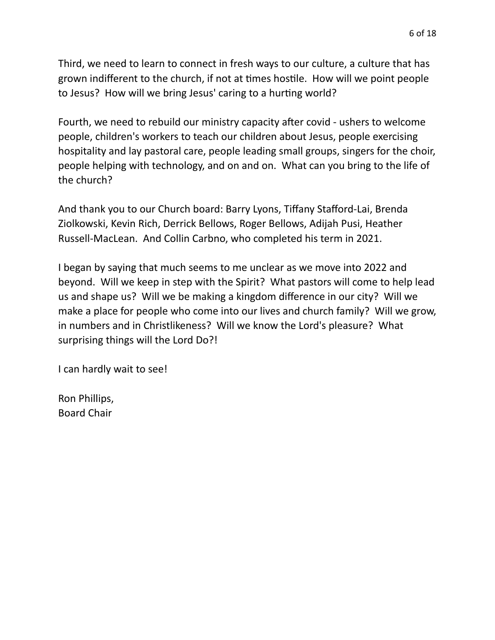Third, we need to learn to connect in fresh ways to our culture, a culture that has grown indifferent to the church, if not at times hostile. How will we point people to Jesus? How will we bring Jesus' caring to a hurting world?

Fourth, we need to rebuild our ministry capacity after covid - ushers to welcome people, children's workers to teach our children about Jesus, people exercising hospitality and lay pastoral care, people leading small groups, singers for the choir, people helping with technology, and on and on. What can you bring to the life of the church?

And thank you to our Church board: Barry Lyons, Tiffany Stafford-Lai, Brenda Ziolkowski, Kevin Rich, Derrick Bellows, Roger Bellows, Adijah Pusi, Heather Russell-MacLean. And Collin Carbno, who completed his term in 2021.

I began by saying that much seems to me unclear as we move into 2022 and beyond. Will we keep in step with the Spirit? What pastors will come to help lead us and shape us? Will we be making a kingdom difference in our city? Will we make a place for people who come into our lives and church family? Will we grow, in numbers and in Christlikeness? Will we know the Lord's pleasure? What surprising things will the Lord Do?!

I can hardly wait to see!

Ron Phillips, Board Chair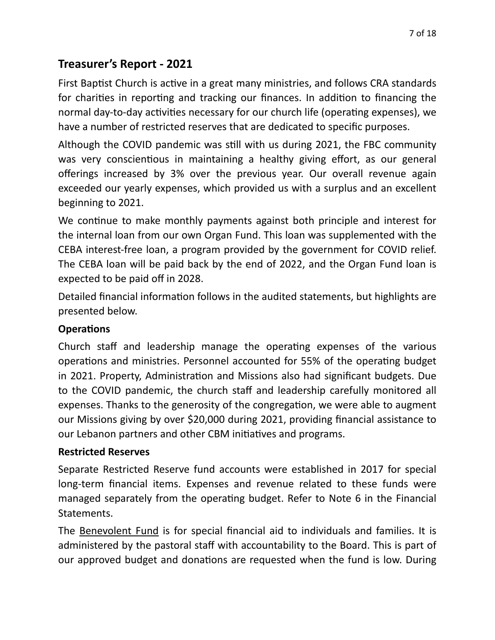# **Treasurer's Report - 2021**

First Baptist Church is active in a great many ministries, and follows CRA standards for charities in reporting and tracking our finances. In addition to financing the normal day-to-day activities necessary for our church life (operating expenses), we have a number of restricted reserves that are dedicated to specific purposes.

Although the COVID pandemic was still with us during 2021, the FBC community was very conscientious in maintaining a healthy giving effort, as our general offerings increased by 3% over the previous year. Our overall revenue again exceeded our yearly expenses, which provided us with a surplus and an excellent beginning to 2021.

We continue to make monthly payments against both principle and interest for the internal loan from our own Organ Fund. This loan was supplemented with the CEBA interest-free loan, a program provided by the government for COVID relief. The CEBA loan will be paid back by the end of 2022, and the Organ Fund loan is expected to be paid off in 2028.

Detailed financial information follows in the audited statements, but highlights are presented below.

#### **Operations**

Church staff and leadership manage the operating expenses of the various operations and ministries. Personnel accounted for 55% of the operating budget in 2021. Property, Administration and Missions also had significant budgets. Due to the COVID pandemic, the church staff and leadership carefully monitored all expenses. Thanks to the generosity of the congregation, we were able to augment our Missions giving by over \$20,000 during 2021, providing financial assistance to our Lebanon partners and other CBM initiatives and programs.

#### **Restricted Reserves**

Separate Restricted Reserve fund accounts were established in 2017 for special long-term financial items. Expenses and revenue related to these funds were managed separately from the operating budget. Refer to Note 6 in the Financial Statements.

The Benevolent Fund is for special financial aid to individuals and families. It is administered by the pastoral staff with accountability to the Board. This is part of our approved budget and donations are requested when the fund is low. During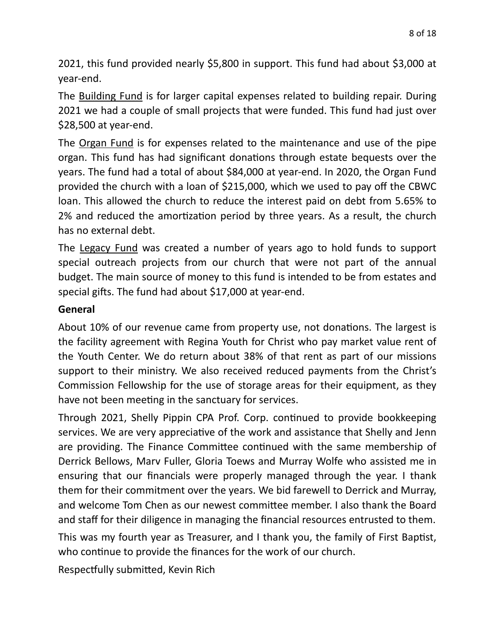2021, this fund provided nearly \$5,800 in support. This fund had about \$3,000 at year-end.

The **Building Fund** is for larger capital expenses related to building repair. During 2021 we had a couple of small projects that were funded. This fund had just over \$28,500 at year-end.

The Organ Fund is for expenses related to the maintenance and use of the pipe organ. This fund has had significant donations through estate bequests over the years. The fund had a total of about \$84,000 at year-end. In 2020, the Organ Fund provided the church with a loan of \$215,000, which we used to pay off the CBWC loan. This allowed the church to reduce the interest paid on debt from 5.65% to 2% and reduced the amortization period by three years. As a result, the church has no external debt.

The Legacy Fund was created a number of years ago to hold funds to support special outreach projects from our church that were not part of the annual budget. The main source of money to this fund is intended to be from estates and special gifts. The fund had about \$17,000 at year-end.

#### **General**

About 10% of our revenue came from property use, not donations. The largest is the facility agreement with Regina Youth for Christ who pay market value rent of the Youth Center. We do return about 38% of that rent as part of our missions support to their ministry. We also received reduced payments from the Christ's Commission Fellowship for the use of storage areas for their equipment, as they have not been meeting in the sanctuary for services.

Through 2021, Shelly Pippin CPA Prof. Corp. continued to provide bookkeeping services. We are very appreciative of the work and assistance that Shelly and Jenn are providing. The Finance Committee continued with the same membership of Derrick Bellows, Marv Fuller, Gloria Toews and Murray Wolfe who assisted me in ensuring that our financials were properly managed through the year. I thank them for their commitment over the years. We bid farewell to Derrick and Murray, and welcome Tom Chen as our newest committee member. I also thank the Board and staff for their diligence in managing the financial resources entrusted to them.

This was my fourth year as Treasurer, and I thank you, the family of First Baptist, who continue to provide the finances for the work of our church.

Respectfully submitted, Kevin Rich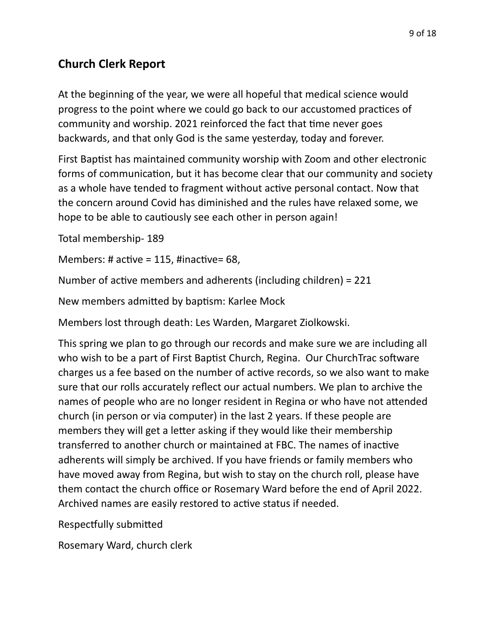# **Church Clerk Report**

At the beginning of the year, we were all hopeful that medical science would progress to the point where we could go back to our accustomed practices of community and worship. 2021 reinforced the fact that time never goes backwards, and that only God is the same yesterday, today and forever.

First Baptist has maintained community worship with Zoom and other electronic forms of communication, but it has become clear that our community and society as a whole have tended to fragment without active personal contact. Now that the concern around Covid has diminished and the rules have relaxed some, we hope to be able to cautiously see each other in person again!

Total membership- 189

Members: # active = 115, #inactive= 68,

Number of active members and adherents (including children) = 221

New members admitted by baptism: Karlee Mock

Members lost through death: Les Warden, Margaret Ziolkowski.

This spring we plan to go through our records and make sure we are including all who wish to be a part of First Baptist Church, Regina. Our ChurchTrac software charges us a fee based on the number of active records, so we also want to make sure that our rolls accurately reflect our actual numbers. We plan to archive the names of people who are no longer resident in Regina or who have not attended church (in person or via computer) in the last 2 years. If these people are members they will get a letter asking if they would like their membership transferred to another church or maintained at FBC. The names of inactive adherents will simply be archived. If you have friends or family members who have moved away from Regina, but wish to stay on the church roll, please have them contact the church office or Rosemary Ward before the end of April 2022. Archived names are easily restored to active status if needed.

Respectfully submitted

Rosemary Ward, church clerk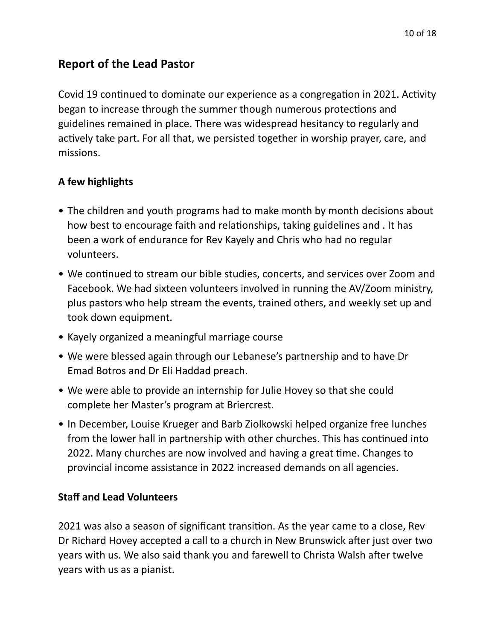# **Report of the Lead Pastor**

Covid 19 continued to dominate our experience as a congregation in 2021. Activity began to increase through the summer though numerous protections and guidelines remained in place. There was widespread hesitancy to regularly and actively take part. For all that, we persisted together in worship prayer, care, and missions.

## **A few highlights**

- The children and youth programs had to make month by month decisions about how best to encourage faith and relationships, taking guidelines and . It has been a work of endurance for Rev Kayely and Chris who had no regular volunteers.
- We continued to stream our bible studies, concerts, and services over Zoom and Facebook. We had sixteen volunteers involved in running the AV/Zoom ministry, plus pastors who help stream the events, trained others, and weekly set up and took down equipment.
- Kayely organized a meaningful marriage course
- We were blessed again through our Lebanese's partnership and to have Dr Emad Botros and Dr Eli Haddad preach.
- We were able to provide an internship for Julie Hovey so that she could complete her Master's program at Briercrest.
- In December, Louise Krueger and Barb Ziolkowski helped organize free lunches from the lower hall in partnership with other churches. This has continued into 2022. Many churches are now involved and having a great time. Changes to provincial income assistance in 2022 increased demands on all agencies.

#### **Staff and Lead Volunteers**

2021 was also a season of significant transition. As the year came to a close, Rev Dr Richard Hovey accepted a call to a church in New Brunswick after just over two years with us. We also said thank you and farewell to Christa Walsh after twelve years with us as a pianist.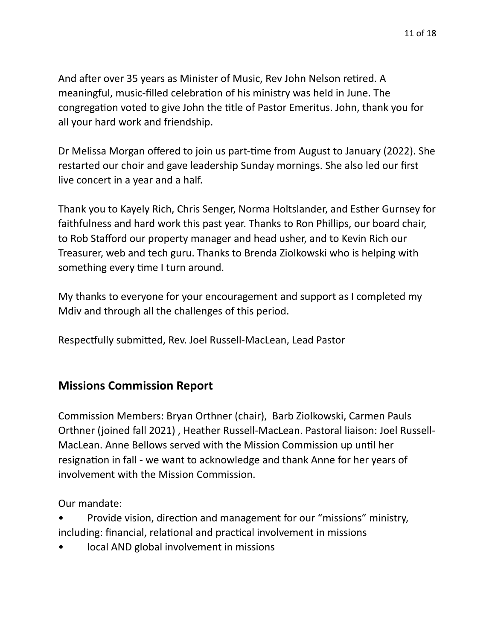And after over 35 years as Minister of Music, Rev John Nelson retired. A meaningful, music-filled celebration of his ministry was held in June. The congregation voted to give John the title of Pastor Emeritus. John, thank you for all your hard work and friendship.

Dr Melissa Morgan offered to join us part-time from August to January (2022). She restarted our choir and gave leadership Sunday mornings. She also led our first live concert in a year and a half.

Thank you to Kayely Rich, Chris Senger, Norma Holtslander, and Esther Gurnsey for faithfulness and hard work this past year. Thanks to Ron Phillips, our board chair, to Rob Stafford our property manager and head usher, and to Kevin Rich our Treasurer, web and tech guru. Thanks to Brenda Ziolkowski who is helping with something every time I turn around.

My thanks to everyone for your encouragement and support as I completed my Mdiv and through all the challenges of this period.

Respectfully submitted, Rev. Joel Russell-MacLean, Lead Pastor

# **Missions Commission Report**

Commission Members: Bryan Orthner (chair), Barb Ziolkowski, Carmen Pauls Orthner (joined fall 2021) , Heather Russell-MacLean. Pastoral liaison: Joel Russell-MacLean. Anne Bellows served with the Mission Commission up until her resignation in fall - we want to acknowledge and thank Anne for her years of involvement with the Mission Commission.

Our mandate:

- Provide vision, direction and management for our "missions" ministry, including: financial, relational and practical involvement in missions
- local AND global involvement in missions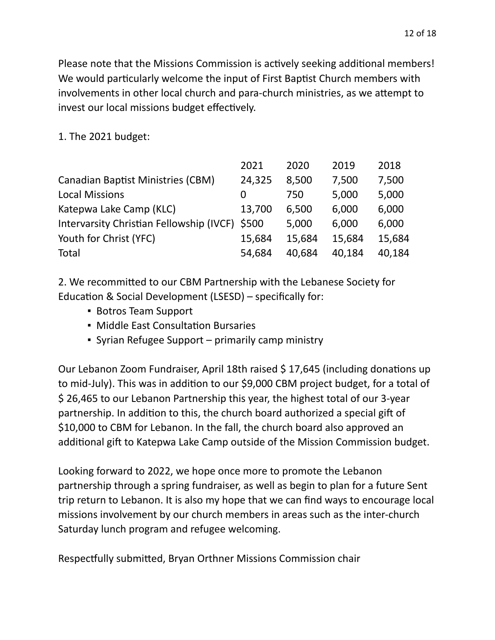Please note that the Missions Commission is actively seeking additional members! We would particularly welcome the input of First Baptist Church members with involvements in other local church and para-church ministries, as we attempt to invest our local missions budget effectively.

1. The 2021 budget:

|                                          | 2021   | 2020   | 2019   | 2018   |
|------------------------------------------|--------|--------|--------|--------|
| <b>Canadian Baptist Ministries (CBM)</b> | 24,325 | 8,500  | 7,500  | 7,500  |
| <b>Local Missions</b>                    | O      | 750    | 5,000  | 5,000  |
| Katepwa Lake Camp (KLC)                  | 13,700 | 6,500  | 6,000  | 6,000  |
| Intervarsity Christian Fellowship (IVCF) | \$500  | 5,000  | 6,000  | 6,000  |
| Youth for Christ (YFC)                   | 15,684 | 15,684 | 15,684 | 15,684 |
| Total                                    | 54,684 | 40.684 | 40,184 | 40,184 |

2. We recommitted to our CBM Partnership with the Lebanese Society for Education & Social Development (LSESD) – specifically for:

- Botros Team Support
- **Middle East Consultation Bursaries**
- **Syrian Refugee Support primarily camp ministry**

Our Lebanon Zoom Fundraiser, April 18th raised \$ 17,645 (including donations up to mid-July). This was in addition to our \$9,000 CBM project budget, for a total of \$ 26,465 to our Lebanon Partnership this year, the highest total of our 3-year partnership. In addition to this, the church board authorized a special gift of \$10,000 to CBM for Lebanon. In the fall, the church board also approved an additional gift to Katepwa Lake Camp outside of the Mission Commission budget.

Looking forward to 2022, we hope once more to promote the Lebanon partnership through a spring fundraiser, as well as begin to plan for a future Sent trip return to Lebanon. It is also my hope that we can find ways to encourage local missions involvement by our church members in areas such as the inter-church Saturday lunch program and refugee welcoming.

Respectfully submitted, Bryan Orthner Missions Commission chair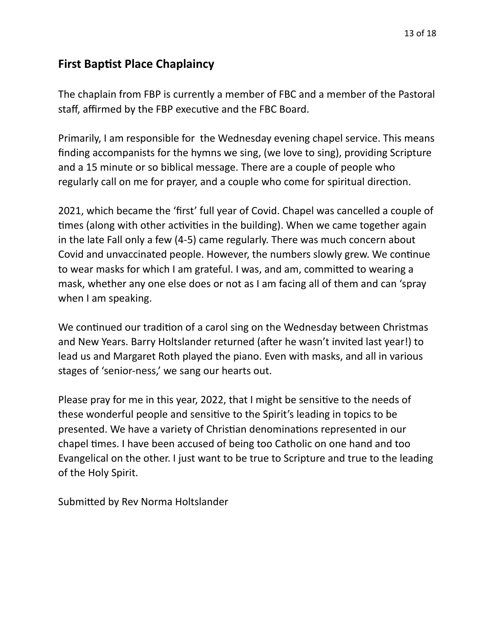## **First Baptist Place Chaplaincy**

The chaplain from FBP is currently a member of FBC and a member of the Pastoral staff, affirmed by the FBP executive and the FBC Board.

Primarily, I am responsible for the Wednesday evening chapel service. This means finding accompanists for the hymns we sing, (we love to sing), providing Scripture and a 15 minute or so biblical message. There are a couple of people who regularly call on me for prayer, and a couple who come for spiritual direction.

2021, which became the 'first' full year of Covid. Chapel was cancelled a couple of times (along with other activities in the building). When we came together again in the late Fall only a few (4-5) came regularly. There was much concern about Covid and unvaccinated people. However, the numbers slowly grew. We continue to wear masks for which I am grateful. I was, and am, committed to wearing a mask, whether any one else does or not as I am facing all of them and can 'spray when I am speaking.

We continued our tradition of a carol sing on the Wednesday between Christmas and New Years. Barry Holtslander returned (after he wasn't invited last year!) to lead us and Margaret Roth played the piano. Even with masks, and all in various stages of 'senior-ness,' we sang our hearts out.

Please pray for me in this year, 2022, that I might be sensitive to the needs of these wonderful people and sensitive to the Spirit's leading in topics to be presented. We have a variety of Christian denominations represented in our chapel times. I have been accused of being too Catholic on one hand and too Evangelical on the other. I just want to be true to Scripture and true to the leading of the Holy Spirit.

Submitted by Rev Norma Holtslander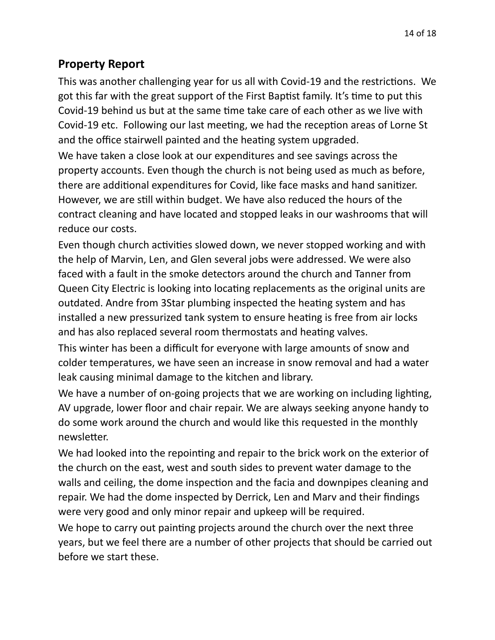## **Property Report**

This was another challenging year for us all with Covid-19 and the restrictions. We got this far with the great support of the First Baptist family. It's time to put this Covid-19 behind us but at the same time take care of each other as we live with Covid-19 etc. Following our last meeting, we had the reception areas of Lorne St and the office stairwell painted and the heating system upgraded.

We have taken a close look at our expenditures and see savings across the property accounts. Even though the church is not being used as much as before, there are additional expenditures for Covid, like face masks and hand sanitizer. However, we are still within budget. We have also reduced the hours of the contract cleaning and have located and stopped leaks in our washrooms that will reduce our costs.

Even though church activities slowed down, we never stopped working and with the help of Marvin, Len, and Glen several jobs were addressed. We were also faced with a fault in the smoke detectors around the church and Tanner from Queen City Electric is looking into locating replacements as the original units are outdated. Andre from 3Star plumbing inspected the heating system and has installed a new pressurized tank system to ensure heating is free from air locks and has also replaced several room thermostats and heating valves.

This winter has been a difficult for everyone with large amounts of snow and colder temperatures, we have seen an increase in snow removal and had a water leak causing minimal damage to the kitchen and library.

We have a number of on-going projects that we are working on including lighting, AV upgrade, lower floor and chair repair. We are always seeking anyone handy to do some work around the church and would like this requested in the monthly newsletter.

We had looked into the repointing and repair to the brick work on the exterior of the church on the east, west and south sides to prevent water damage to the walls and ceiling, the dome inspection and the facia and downpipes cleaning and repair. We had the dome inspected by Derrick, Len and Marv and their findings were very good and only minor repair and upkeep will be required.

We hope to carry out painting projects around the church over the next three years, but we feel there are a number of other projects that should be carried out before we start these.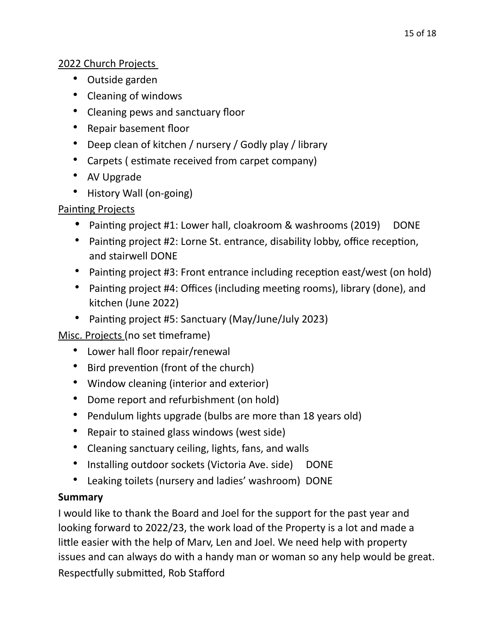#### 2022 Church Projects

- Outside garden
- Cleaning of windows
- Cleaning pews and sanctuary floor
- Repair basement floor
- Deep clean of kitchen / nursery / Godly play / library
- Carpets ( estimate received from carpet company)
- AV Upgrade
- History Wall (on-going)

#### Painting Projects

- Painting project #1: Lower hall, cloakroom & washrooms (2019) DONE
- Painting project #2: Lorne St. entrance, disability lobby, office reception, and stairwell DONE
- Painting project #3: Front entrance including reception east/west (on hold)
- Painting project #4: Offices (including meeting rooms), library (done), and kitchen (June 2022)
- Painting project #5: Sanctuary (May/June/July 2023)

Misc. Projects (no set timeframe)

- Lower hall floor repair/renewal
- Bird prevention (front of the church)
- Window cleaning (interior and exterior)
- Dome report and refurbishment (on hold)
- Pendulum lights upgrade (bulbs are more than 18 years old)
- Repair to stained glass windows (west side)
- Cleaning sanctuary ceiling, lights, fans, and walls
- Installing outdoor sockets (Victoria Ave. side) DONE
- Leaking toilets (nursery and ladies' washroom) DONE

#### **Summary**

I would like to thank the Board and Joel for the support for the past year and looking forward to 2022/23, the work load of the Property is a lot and made a little easier with the help of Marv, Len and Joel. We need help with property issues and can always do with a handy man or woman so any help would be great. Respectfully submitted, Rob Stafford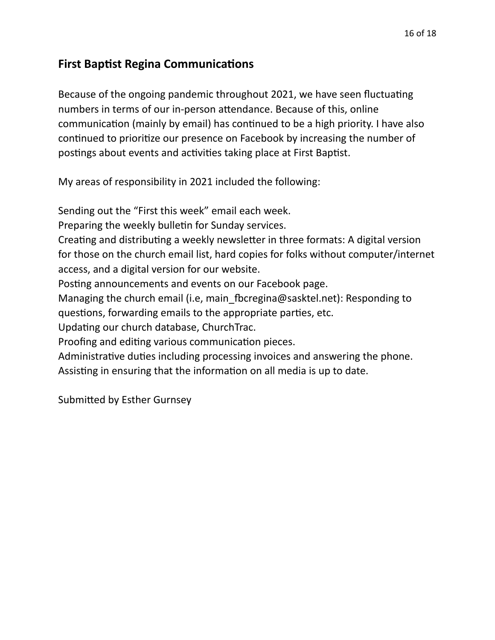## **First Baptist Regina Communications**

Because of the ongoing pandemic throughout 2021, we have seen fluctuating numbers in terms of our in-person attendance. Because of this, online communication (mainly by email) has continued to be a high priority. I have also continued to prioritize our presence on Facebook by increasing the number of postings about events and activities taking place at First Baptist.

My areas of responsibility in 2021 included the following:

Sending out the "First this week" email each week. Preparing the weekly bulletin for Sunday services. Creating and distributing a weekly newsletter in three formats: A digital version for those on the church email list, hard copies for folks without computer/internet access, and a digital version for our website. Posting announcements and events on our Facebook page. Managing the church email (i.e, main fbcregina@sasktel.net): Responding to questions, forwarding emails to the appropriate parties, etc. Updating our church database, ChurchTrac. Proofing and editing various communication pieces. Administrative duties including processing invoices and answering the phone. Assisting in ensuring that the information on all media is up to date.

Submitted by Esther Gurnsey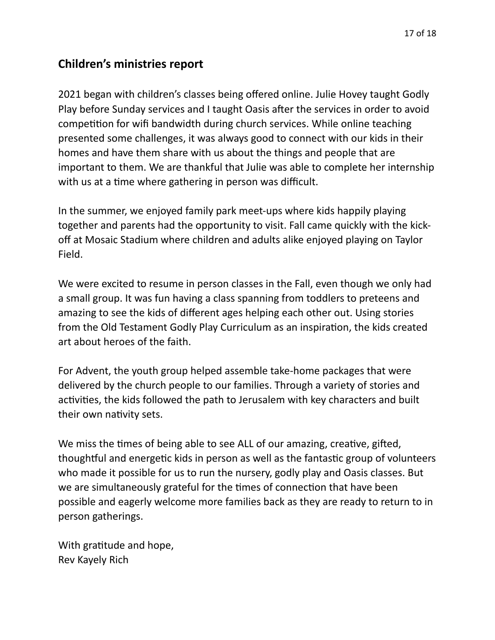# **Children's ministries report**

2021 began with children's classes being offered online. Julie Hovey taught Godly Play before Sunday services and I taught Oasis after the services in order to avoid competition for wifi bandwidth during church services. While online teaching presented some challenges, it was always good to connect with our kids in their homes and have them share with us about the things and people that are important to them. We are thankful that Julie was able to complete her internship with us at a time where gathering in person was difficult.

In the summer, we enjoyed family park meet-ups where kids happily playing together and parents had the opportunity to visit. Fall came quickly with the kickoff at Mosaic Stadium where children and adults alike enjoyed playing on Taylor Field.

We were excited to resume in person classes in the Fall, even though we only had a small group. It was fun having a class spanning from toddlers to preteens and amazing to see the kids of different ages helping each other out. Using stories from the Old Testament Godly Play Curriculum as an inspiration, the kids created art about heroes of the faith.

For Advent, the youth group helped assemble take-home packages that were delivered by the church people to our families. Through a variety of stories and activities, the kids followed the path to Jerusalem with key characters and built their own nativity sets.

We miss the times of being able to see ALL of our amazing, creative, gifted, thoughtful and energetic kids in person as well as the fantastic group of volunteers who made it possible for us to run the nursery, godly play and Oasis classes. But we are simultaneously grateful for the times of connection that have been possible and eagerly welcome more families back as they are ready to return to in person gatherings.

With gratitude and hope, Rev Kayely Rich